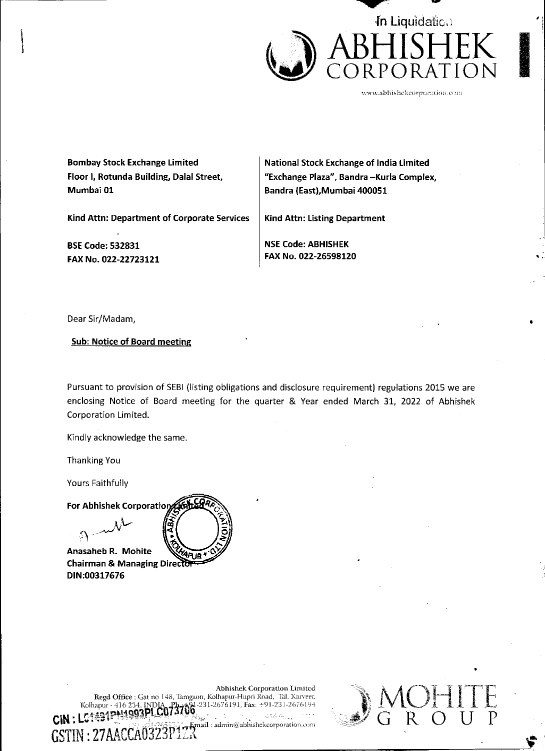

www. abhishekcorporation.cont

ey }

Į

t

Bombay Stock Exchange Limited Floor 1, Rotunda Building, Dalal Street, Mumbai 01

National Stock Exchange of India Limited "Exchange Plaza", Bandra —Kurla Complex, Bandra (East), Mumbai 400051

Kind Attn: Department of Corporate Services

BSE Code: 532831 FAX No. 022-22723121 Kind Attn: Listing Department

NSE Code: ABHISHEK FAX No. 022-26598120

Dear Sir/Madam,

Sub: Notice of Board meeting

Pursuant to provision of SEBI (listing obligations and disclosure requirement) regulations 2015 we are enclosing Notice of Board meeting for the quarter & Year ended March 31, 2022 of Abhishek Corporation Limited.

Kindly acknowledge the same.

Thanking You

Yours Faithfully

in the contract of the contract of the contract of the contract of the contract of the contract of the contract of

Anasaheb R. Mohite Chairman & Managing Direc' DIN:00317676 !PUR



zh

Frail : admin@abhishekcorporation.com